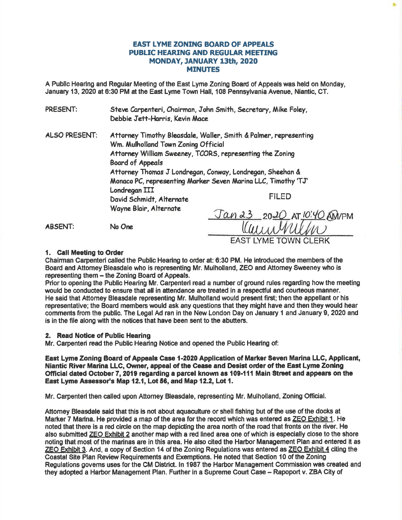# EAST IYME ZONING BOARD OF APPEALS PUBLIC HEARING AND REGULAR MEETING MONDAY, JANUARY 13th, 2020 MINUTES

t

A Public Hearing and Regular Meeting of the East Lyme Zoning Board of Appeals was held on Monday, January 13,2020 at 6:30 PM at the East Lyme Town Hall, 108 Pennsylvania Avenue, Niantic, CT.

| PRESENT:             | Debbie Jett-Harris, Kevin Mace                                                                                                                                      | Steve Carpenteri, Chairman, John Smith, Secretary, Mike Foley, |
|----------------------|---------------------------------------------------------------------------------------------------------------------------------------------------------------------|----------------------------------------------------------------|
| <b>ALSO PRESENT:</b> | Attorney Timothy Bleasdale, Waller, Smith & Palmer, representing<br>Wm. Mulholland Town Zoning Official<br>Attorney William Sweeney, TCORS, representing the Zoning |                                                                |
|                      | <b>Board of Appeals</b><br>Attorney Thomas J Londregan, Conway, Londregan, Sheehan &<br>Monaco PC, representing Marker Seven Marina LLC, Timothy 'TJ'               |                                                                |
|                      | Londregan III<br>David Schmidt, Alternate                                                                                                                           | <b>FILED</b>                                                   |
|                      | Wayne Blair, Alternate                                                                                                                                              | <u>Jan 23 2020 AT 10:40 AM/PM</u>                              |
| <b>ABSENT:</b>       | No One                                                                                                                                                              | <b>EAST LYME TOWN CLERK</b>                                    |

# 1. Call Meeting to Order

Chairman Carpenteri called the Public Hearing to order at: 6:30 PM. He introduced the members of the Board and Attorney Bleasdale who is representing Mr. Mulholland, ZEO and Attorney Sweeney who is representing them - the Zoning Board of Appeals.

Prior to opening the Public Hearing Mr. Carpenteri read a number of ground rules regarding how the meeting would be conducted to ensure that all in attendance are treated in a respectful and courteous manner. He said thet Attomey Bleasdale representing Mr. Mulholland would present first; then the appellant or his representative; the Board members would ask any questions that they might have and then they would hear comments from the public. The Legal Ad ran in the New London Day on January 1 and January 9, 2020 and is in the file along with the notices that have been sent to the abutters.

# 2. Read Notice of Public Hearing

Mr. Carpenteri read the Public Hearing Notice and opened the Public Hearing of:

East Lyme Zoning Board of Appeale Case 1-2020 Application of Marter Seven Marina LLC, Applicant, Nlantic River Marina LLG, Owner, appeal of the Cease and Desist order of the East Lyme Zoning Official dated October 7, 2019 regarding a parcel known as 109-111 Main Street and appears on the East Lyme Assessor's Map 12.1, Lot 56, and Map 12.2, Lot 1.

Mr. Carpenteri then called upon Attorney Bleasdale, representing Mr. Mulholland, Zoning Official.

Attomey Bleasdale said that this is not about aquaculture or shell fishing but of the use of the docks at Marker 7 Marina. He provided a map of the area for the record which was entered as ZEO Exhibit 1. He noted that there is a red circle on the map depicting the area north of the road that fronts on the river. He also submitted ZEO Exhibit 2 another mapwith a red lined area one of which is especially close to the shore noting that most of the marinas are in this area. He also cited the Harbor Management Plan and entered it as ZEO Exhibit 3. And, a copy of Section 14 of the Zoning Regulations was entered as  $Z \to Q$  Exhibit 4 citing the Coastal Site Plan Review Requirements and Exemptions. He noted that Section 10 of the Zoning Regulations govems useg for the CM District. ln 1987 the Harbor Management Commission was created and they adopted a Harbor Management Plan. Further in a Supreme Court Case - Rapoport v. ZBA City of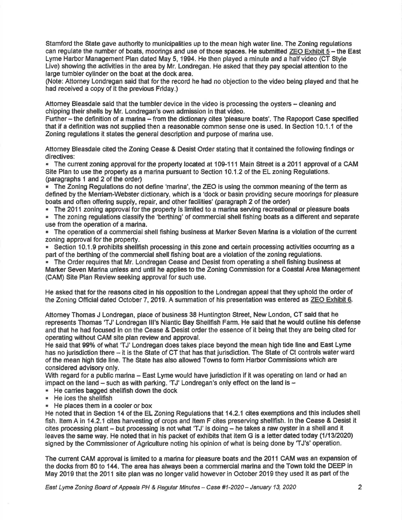Stamford the State gave authority to municipalities up to the mean high water line. The Zoning regulations can regulate the number of boats, moorings and use of those spaces. He submitted ZEO Exhibit 5 - the East Lyme Harbor Management Plan dated May 5, 1994. He then played a minute and a half video (CT Style Live) showing the activities in the area by Mr. Londregan. He asked that they pay special attention to the large tumbler cyllnder on the boat at the dock area.

(Note: Attorney Londregan said that forthe record he had no objection to the video being played and that he had received a copy of it the previous Friday.)

Attorney Bleasdale said that the tumbler device in the video is processing the oysters - cleaning and chipping their shells by Mr. Londregan's own admission in that video.

Further - the definition of a marina - from the dictionary cites 'pleasure boats'. The Rapoport Case specified that if a definition was not supplied then a reasonable common sense one is used. ln Section 10.1.1 of the Zoning regulations it states the general description and purpose of marina use.

Attorney Bleasdale cited the Zoning Cease & Desist Order stating that it contained the following findings or directives:

" The current zoning approval for the property located at 109-111 Main Street is a 2011 approval of a CAM Site Plan to use the property as a marina pursuant to Section 10.1.2 of the EL zoning Regulations. (paragraphs 1 and2 of the order)

' The Zoning Regulations do not define 'marina', the ZEO is using the common meaning of the term as defined by the Meniam-Webster dic{ionary, which is a 'dock or basin providing secure moorings for pleasure boats and often offering supply, repair, and other facilities' (paragraph 2 of the order)

. The 2011 zoning approval for the property is limited to a marina serving recreational or pleasure boats

. The zoning regulations classify the 'berthing' of commercial shell fishing boats as a different and separate use from the operation of a marina.

. The operation of a commercial shell fishing buslness at Marker Seven Marina is a vlolation of the cunent zoning approval for the property.

. Section 10.1.9 prohibits shellfish processing in this zone and certain processing activities occuning as <sup>a</sup> part of the berthing of the commercial shell fishing boat are a violation of the zoning regulations.

. The Order requires that Mr. Londregan Cease and Desist from operating a shellfishing business at Marker Seven Marina unless and until he applies to the Zoning Commission for a Coastal Area Management (CAM) Site Plan Review seeking approval for such use.

He asked that for the reasons cited in his opposition to the Londregan appeal that they uphold the order of the Zoning Official dated October 7, 2019. A summation of his presentation was entered as ZEO Exhibit 6.

Attorney Thomas J Londregan, place of business 38 Huntington Street, New London, CT seid that he represents Thomas'TJ'Londregan lll's Niantlc Bay Shellfish Farm. He said that he would outline his defense and that he had focused in on the Cease & Desist order the essence of it being that they are being cited for operating without CAM site plan review and approval.

He said that 99% of what 'TJ' Londregan does takes place beyond the mean high tide line and East Lyme has no jurisdiction there - it is the State of CT that has that jurisdiction. The State of Ct controls water ward of the mean high tide line. The State has also allowed Towns to form Harbor Commissions which are consldered advisory only.

With regard for a public marina - East Lyme would have jurisdiction if it was operating on land or had an impact on the land  $-$  such as with parking. 'TJ' Londregan's only effect on the land is  $-$ 

- ' He canies bagged shellfish down the dock
- " He ices the shellfish<br>" He places them in a
- . He places them in a cooler or box

He noted that in Section 14 of the EL Zoning Regulations that 14.2.1 cites exemptions and this includes shell fish, Item A in 14.2.1 cites harvesting of crops and Item F cites preserving shellfish. In the Cease & Desist it cites processing plant - but processing is not what 'TJ' is doing - he takes a raw oysiter in a shell and it leaves the same way. He noted that in his packet of exhlbits that item G is a letter dated today (111312020) signed by the Commissioner of Agriculture noting his opinion of what is being done by 'TJ's' operation.

The cunent GAM approval is limited to a marina for pleasure boats and the 2011 CAM was an expansion of the docks from 80 to 144. The area has always been a commercial marina and the Town told the DEEP in May 2019 that the 2011 site plan was no longer valid however in October 2019 they used it as part of the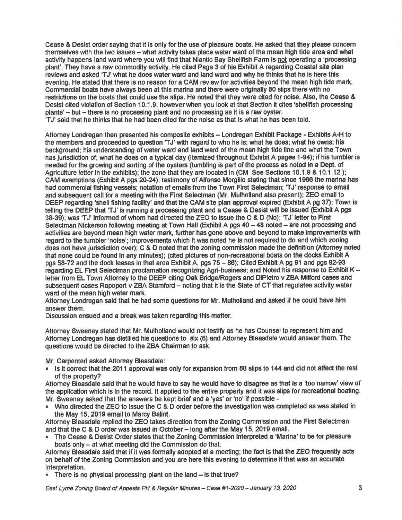Cease & Desist order saying that it is only forthe use of pleasure boats. He asked that they please concem themselves with the two issues - what activity takes place water ward of the mean high tide area and what activity happens land ward where you will find that Niantic Bay Shellfish Farm is not operating a 'processing plant'. They have a raw commodity activity. He cited Page 3 of his Exhibit A regarding Coastal site plan reviews and asked 'TJ' what he does water ward and land ward and why he thinks that he is here this evening. He stated that there is no reason for a CAM review for activities beyond the mean high tide mark. Commercial boats have always been at this marina and there were originally 80 slips there with no restrictions on the boats that could use the slips. He noted that they were cited for noise. Also, the Cease & Desist cited violation of Section 10.1.9, however when you look at that Section it cites 'shellfish processing  $plants' - but - there is no processing plant and no processing as it is a raw oyster.$ 'TJ'said that he thinks that he had been cited forthe noise as that is what he has been told.

Aftomey Londregan then presented his composite exhibits - Londregan Exhibit Package - Exhibits A-H to the members and proceeded to question 'TJ' with regard to who he is; what he does; what he owns; his background; his understanding of waterward and land ward of the mean high tide line and what the Town has Jurisdiction of; what he does on a typical day (ltemized throughout Exhibit A pages 1-94); if his tumbler is needed for the growing and sorting of the oysters (tumbling is part of the process as noted in a Dept. of Agriculture letter in the exhibits); the zone that they are located in (CM See Sections 10.1.9 & 10.1.12); CAM exemptions (Exhibit A pgs 20-24); testimony of Alfonso Morgillo stating that since 1966 the marina has had commercial fishing vessels; notation of emails from the Town First Selectman; 'TJ' response to email and subsequent call for a meeting with the First Selecfman (Mr, Mulholland also present); ZEO email to DEEP regarding 'shell fishing facility' and that the CAM site plan approval expired (Exhibit A pg 37); Town is telling the DEEP that 'TJ' is running a processing plant and a Cease & Desist will be issued (Exhibit A pgs 38-39);was'TJ'informed of whom had direded the ZEO to issue the C & D (No); 'TJ'letterto First Selectman Nickerson following meeting at Town Hall (Exhibit A pgs 40 - 48 noted - are not processing and activities are beyond mean high water mark, further has gone above and beyond to make improvements with regard to the tumbler'noise'; improvements which it was noted he is not required to do and which zoning does not have jurisdiction over); C & D noted that the zoning commission made the definition (Attomey noted that none could be found in any minutes); (cited pictures of non-recreational boats on the docks Exhibit A pgs 58-72 and the dock leases in that area Exhibit A, pgs 75 - 86); Cited Exhibit A pg 91 and pgs 92-93 regarding EL First Seledman proclamation recognizing Agri-business; and Noted his response to Exhibit K letter from EL Town Attorney to the DEEP citing Oak Bridge/Rogers and DiPietro v ZBA Milford cases and subsequent cases Rapoport v ZBA Stamford - noting that it is the State of CT that regulates activity water ward of the mean high water mark.

Attorney Londregan said that he had some questions for Mr. Mulholland and asked if he could have him answer them.

Discussion ensued and e break was taken regarding this matter.

Attorney Sweeney stated that Mr. Mulholland would not testify as he has Counsel to represent him and Attorney Londregan has distilled his questions to six (6) and Attorney Bleasdale would answer them. The questions would be directed to the ZBA Chairman to ask,

Mr. Carpenteri asked Attomey Bleasdale:

. ls it conect that the 2011 approval was only for expansion from 80 slips to 144 and did not affect the rest of the property?

Attorney Bleasdale said that he would have to say he would have to disagree as that is a 'too narrow' view of the application which ls in the record. lt applied to the entire property and it was slips for recreational boating. Mr. Sweeney asked that the answers be kept brief and a 'yes' or'no' if possible -

. Who directed the ZEO to issue the C & D order before the investigation was completed as was stated in the May 15, 2019 email to Marcy Balint.

Attorney Bleasdale replied the ZEO takes direction from the Zoning Commission and the First Selectman and that the C & D order was issued in October - long after the May 15, 2019 email.

- . The Cease & Desist Order states that the Zoning Commission interpreted a 'Marine'to be for pleasure boats only - at what meeting did the Commission do that.
- Attomey Bleasdale said that if it was formally adopted at a meeting; the fact is that the ZEO frequently acts on behalf of the Zoning Commisslon and you are here this evening to determine if that was an accurate interpretation.
- **. There is no physical processing plant on the land**  $-$  **is that true?**

East Lyme Zoning Board of Appeals PH & Regular Minutes -- Case #1-2020 -- January 13, 2020  $\,$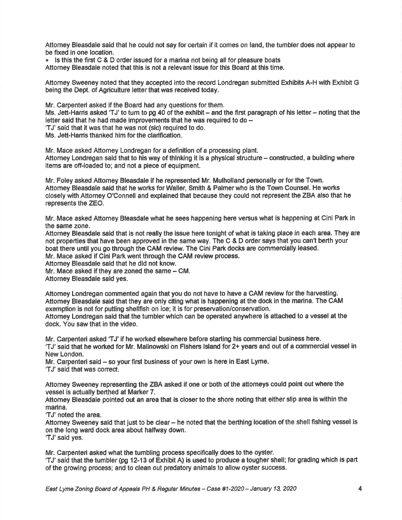Attomey Bleasdale said that he could not say for certain if it comes on land, the tumbler does not appear to be fixed in one location.

 $\blacksquare$  Is this the first C & D order issued for a marina not being all for pleasure boats Attomey Bleasdale noted that this is not a relevant issue for this Board at this time.

Attomey Sweeney noted that they accepted into the record Londregan submitted Exhibits A-H with Exhibit G being the Dept. of Agriculture letter that was received today.

Mr. Carpenteri asked if the Board had any questions for them. Ms, Jett-Harris asked 'TJ' to turn to pg 40 of the exhibit – and the first paragraph of his letter – noting that the letter said that he had made improvements that he was required to do  $-$ 'TJ'said that it was that he was not (sic) required to do.

Ms. Jett-Harris thanked him for the clarification.

Mr. Mace asked Attomey Londregan for a definition of a processing plant. Attorney Londregan said that to his way of thinking it is a physical structure - constructed, a building where items are off-loaded to; and not a piece of equipment.

Mr. Foley asked Attomey Bleasdale if he represented Mr. Mulholland personally orforthe Town. Attomey Bleasdale sald that he works forWaller, Smith & Palmerwho is the Town Gounsel. He worts closely with Attomey O'Connell and explained that because they could not represent the ZBA also that he represents the ZEO.

Mr, Mace asked Attomey Bleasdale what he sees happening here versus what is happening at Cini Park in the same zone.

Attomey Bleasdale said that is not really the issue here tonight of what is taking place in each area. They are not properties that have been approved in the same way. The C & D order says that you can't berth your boat there until you go through the CAM review. The Cini Park docks are commercially leased.

Mr. Mace asked if Cini Park went through the CAM review process.

Attomey Bleasdale said that he did not know.

Mr. Mace asked if they are zoned the same - CM.

Attomey Bleasdale said yes.

Attomey Londregan commented again that you do not have to have a CAM review forthe harvesting. Attomey Bleasdale said that they are only citing what is happening at the dock in the marina. The CAM exemption is not for putting shellfish on ice; it is for preservation/conservation.

Attomey Londregan said that the tumbler which can be operated anywhere is attached to a vessel at the dock. You saw that in the video.

Mr. Carpenteri asked 'TJ' if he worked elsewhere before starting his commercial business here.

'TJ'said that he worked for Mr. Malinowski on Flshers lsland for2+ years and out of a commercial vessel in New London.

Mr. Carpenteri said - so your first business of your own is here in East Lyme.

'TJ'said that was conect.

Attomey Sweeney representing the ZBA asked if one or both of the attomeys could point out where the vessel is actually berthed at Marker 7.

Attorney Bleasdale pointed out an area that is closer to the shore noting that either slip area is within the marina.

'TJ'noted the area.

Attorney Sweeney said that just to be clear - he noted that the berthing location of the shell fishing vessel is on the long ward dock area about halfway down. 'TJ'said yes.

Mr. Carpenteri asked what the tumbling process specifically does to the oyster.

'TJ' said that the tumbler (pg 12-13 of Exhibit A) is used to produce a tougher shell; for grading which is part of the growing process; and to clean out predatory animals to allow oyster success.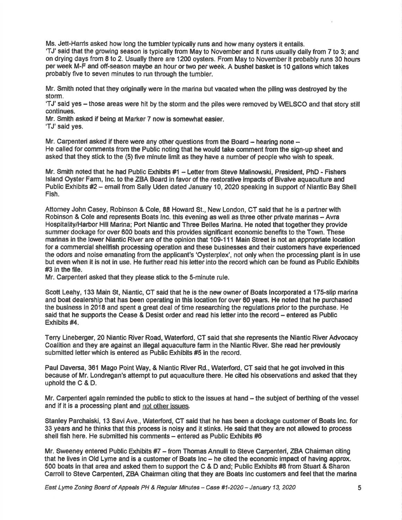Ms, Jett-Hanis asked how long the tumblertypically runs and how many oysters it entails.

'TJ' said that the growlng season is typically from May to November and it runs usually daily from 7 to 3; and on drying days from 8 to 2. Usually there are 1200 oys{ers. From May to November it probably runs 30 hours perweek M-F and off-season maybe an hour ortwo perweek. A bushel basket is 10 gallons which takes probably five to seven minutes to run through the tumbler.

Mr. Smith noted that they originally were in the marina but vacated when the piling was destroyed by the storm.

'TJ' said yes - those areas were hit by the storm and the piles were removed by WELSCO and that story still continues.

Mr. Smith asked if being at Marker 7 now is somewhat easler.

'TJ'said yes.

Mr. Carpenteri asked if there were any other questions from the Board  $-$  hearing none  $-$ He called for comments from the Public noting that he would take comment from the sign-up sheet and asked that they stick to the (5) five minute limit as they have a number of people who wish to speak.

Mr. Smith noted that he had Public Exhibits #1 - Letter from Steve Malinowski, President, PhD - Fishers lsland Oyster Farm, lnc. to the ZBA Board in favor of the restorative impacts of Bivalve aquaculture and Public Exhibits #2 - email from Sally Uden dated January 10, 2020 speaking in support of Niantic Bay Shell Fish.

Attomey John Casey, Robinson & Cole, 88 Howard St., New London, CT said that he is a partnerwith Robinson & Cole and represents Boats Inc. this evening as well as three other private marinas - Avra Hospitality/Harbor Hill Marina; Port Niantic and Three Belles Marina. He noted that together they provide summer dockage for over 600 boats and this provides significant economic beneflts to the Town. These marinas in the lower Niantic River are of the opinion that 109-111 Main Street is not an appropriate location for a commercial shellfish processing operation and these businesses and their customers have experienced the odons and noise emanating from the applicant's 'Oysterplex', not only when the processing plant is in use but even when lt is not in use. He further read his letter into the record which can be found as Public Exhibits #3 in the flle.

Mr. Carpenteri asked that they please stick to the 5-minute rule.

Scott Leahy, 133 Main St, Niantic, CT said that he is the new owner of Boats Incorporated a 175-slip marina and boat dealership that has been operating in this location for over 60 years. He noted that he purchased the business in 2018 and spent a great deal of time researching the regulations prior to the purchase. He said that he supports the Cease & Desist order and read his letter into the record - entered as Public Exhibits #4.

Terry Lineberger, 20 Niantic River Road, Waterford, CT said that she represents the Niantic RiverAdvocacy Coalition and they are against an illegal aquaculture farm in the Niantic River. She read her previously submitted letter which is entered as Public Exhibits #5 in the record.

Paul Daversa, 361 Mago Point Way, & Niantic River Rd., Waterford, CT said that he got involved in this because of Mr. Londregan's attempt to put aquaculture there. He cited his observations and asked that they uphold the  $C$  &  $D$ .

Mr. Carpenteri again reminded the public to stick to the issues at hand – the subject of berthing of the vessel and if it is a processing plant and not other issues.

Stanley Parchaiski, 13 Savi Ave., Waterford, CT said that he has been a dockage customer of Boats Inc. for 33 years and he thinks that this process is noisy and it stinks. He said that they are not allowed to process shell fish here. He submitted his comments - entered as Public Exhibits #6

Mr. Sweeney entered Public Exhibits #7 - from Thomas Annulli to Steve Carpenteri, ZBA Chairman citing that he lives in Old Lyme and is a customer of Boats Inc - he cited the economic impact of having approx. 500 boats in that area and asked them to support the C & D and; Public Exhibits #8 from Stuart & Sharon Carroll to Steve Carpenteri, ZBA Chairman citing that they are Boats Inc customers and feel that the marina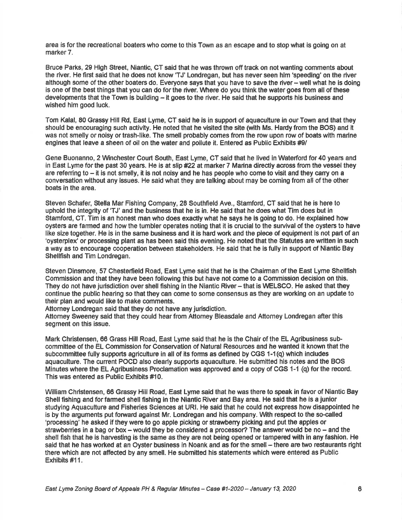area is for the recreational boaters who come to this Town as an escape and to stop what is going on at marker 7.

Bruce Parks, 29 High Street, Niantic, CT said that he was thrown off track on not wanting comments about the river. He first said that he does not know 'TJ' Londregan, but has never seen him 'speeding' on the river although some of the other boaters do. Everyone says that you have to save the river - well what he is doing is one of the best things that you can do for the river. Where do you think the water goes from all of these developments that the Town is building - it goes to the river. He said that he supports his business and wished him good luck.

Tom Kalal, 80 Grassy Hill Rd, East Lyme, CT said he is in support of aquaculture in our Town and that they should be encouraging such activity. He noted that he visited the site (with Ms. Hardy from the BOS) and it was not smelly or noisy or trash-like. The smell probably comes from the row upon row of boats with marine engines that leave a sheen of oil on the water and pollute it. Entered as Public Exhibits #9/

Gene Buonanno, 2 Winchester Court South, East Lyme, CT said that he lived in Waterford for 40 years and in East Lyme for the past 30 years. He is at slip #22 at marker 7 Marina directly across from the vessel they are referring to – it is not smelly, it is not noisy and he has people who come to visit and they carry on a conversation without any issues. He said what they are talking about may be coming from all of the other boats in the area.

Steven Schafer, Stella Mar Fishing Company, 28 Southfield Ave., Stamford, CT said that he is here to uphold the integrity of 'TJ'and the business that he is in. He said that he does what Tim does but in Stamford, CT. Tim is an honest man who does exactly what he says he is going to do. He explained how oysters are farmed and how the tumbler operates noting that it is crucial to the survival of the oysters to have like size together. He is in the same business and it is hard work and the piece of equipment is not part of an 'oysterplex' or processing plant as has been said this evening. He noted that the Statutes are written in such a way as to encourage cooperation between stakeholders. He said that he is fully in support of Niantic Bay Shellfish and Tim Londregan.

Steven Dinsmore, 57 Chesterfield Road, East Lyme said that he is the Chairman of the East Lyme Shellfish Commlssion and that they have been following this but have not come to a Commission decision on this. They do not have jurisdiction over shell fishing in the Niantic River- that is WELSCO. He asked that they continue the public hearing so that they can come to some consensus as they are working on an update to their plan and would like to make oomments.

Attorney Londregan said that they do not have any jurisdiction.

Attomey Sweeney said that they could hear from Attomey Bleasdale and Attomey Londregan after this segment on this issue.

Mark Christensen, 66 Grass Hill Road, East Lyme said that he is the Chair of the EL Agribusiness subcommittee of the EL Commission for Conseryation of Natural Resources and he wanted it known that the subcommittee fully supports agriculture in all of its forms as defined by CGS 1-1(q) which indudes aquaculture. The cunent POCD also clearly supports aquaculture. He submitted his notes and the BOS Minutes where the EL Agribusiness Proclamation was approved and a copy of CGS 1-1 (q) forthe recod. This wes entered as Public Exhibits #10.

\Mlliam Christensen, 66 Grassy Hill Road, East Lyme said that he was there to speak in favor of Niantic Bay Shell fishing and for farmed shell fishing in the Niantic River and Bay area. He said that he is a junior studying Aquaculture and Fisheries Sciences at URl. He said that he could not express how disappointed he is by the arguments put forward against Mr. Londregan and his company. With respect to the so-called 'processing' he asked if they were to go apple picking or strawberry picking and put the apples or strawberries in a bag or box - would they be considered a processor? The answer would be no - and the shell fish that he is harvesting is the same as they are not being opened or tampered with in any fashion. He said that he has worked at an Oyster business in Noank and as for the smell - there are two restaurants right there which are not affected by any smell. He submitted his statements which were entered as Public Exhibits #11.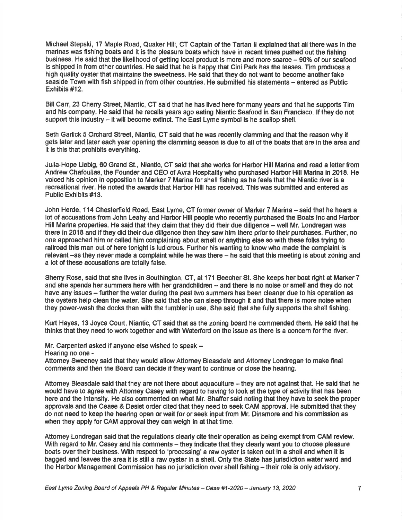Michael Stepski, 17 Maple Road, Quaker Hill, CT Captain of the Tartan ll explained that all there was in the marinas was fishing boats and it is the pleasure boats which have in recent times pushed out the fishing business. He said that the likelihood of getting local product is more and more scarce – 90% of our seafood is shipped in from other countries. He said that he is happy that Cini Park has the leases. Tim produces a high quality oyster that maintains the sweetness. He said that they do not want to become another fake seaside Town with fish shipped in from other countries. He submitted his statements - entered as Public Exhibits #12.

Bill Carr, 23 Cherry Street, Niantic, CT said that he has lived here for many years and that he supports Tim and his company. He said that he recalls years ago eating Niantic Seafood in San Francisco. lf they do not support this industry - it will become extinct. The East Lyme symbol is he scallop shell.

Seth Garlick 5 Orchard Street, Niantic, CT said that he was recently clamming and that the reason why it gets later and later each year opening the clammlng seeson is due to all of the boats that are in the area and it is this that prohibits everything.

Julia-Hope Liebig, 60 Grand St., Niantic, CT said that she works for Harbor Hill Marina and read a letter from Andrew Chafoulias, the Founder and CEO of Avra Hospitality who purchased Harbor Hill Marina in 2018. He voiced his opinion in opposition to Marker 7 Marina for shell fishing as he feels that the Niantic river is a recreational river. He noted the awards that Harbor Hill has received. This was submitted and entered as Public Exhibits #13.

John Herde, 114 Chesterfield Road, East Lyme, CT former owner of Marker 7 Marina - said that he hears <sup>a</sup> lot of accusations from John Leahy and Harbor Hill people who recently purchased the Boats inc and Harbor Hill Marina properties. He said that they claim that they did their due diligence - well Mr. Londregan was there in 2018 and if they did their due diligence then they saw him there prior to their purchases. Further, no one epproached him or called him complaining about smell or anything else so with these folks trying to railroad this man out of here tonight is ludicrous. Further his wanting to know who made the complaint is relevant -as they never made a complaint while he was there - he said that this meeting is about zoning and a lot of these accusations are totally false.

Sherry Rose, said that she lives in Southington, CT, at 171 Beecher St. She keeps her boat right at Marker 7 and she spends her summers here with her grandchildren - and there is no noise or smell and they do not have any issues – further the water during the past two summers has been cleaner due to his operation as the oysters help clean the water. She seid that she can sleep through it and that there is more noise when they power-wash the docks than with the tumbler in use. She said that she fully supports the shell fishing,

Kurt Hayes, 13 Joyce Court, Niantic, CT said that as the zoning board he commended them. He said that he thinks that they need to work together and with Waterford on the issue as there is a concern for the river.

Mr. Carpenteri asked if anyone else wished to speak -

Hearing no one -

Attorney Sweeney said that they would allow Attorney Bleasdale and Attorney Londregan to make final comments and then the Board can decide if they want to continue or close the hearing.

Attorney Bleasdale said that they are not there about aquaculture – they are not against that. He said that he would have to agree with Attomey Casey with regard to having to look at the type of adivity that has been here and the intensity. He also commented on what Mr. Shaffer said noting that they have to seek the proper approvals and the Cease & Desist order cited that they need to seek CAM approval. He submitted that they do not need to keep the hearing open or wait for or seek input from Mr. Dinsmore and his commission as when they apply for CAM approval they can weigh in at that time.

Attomey Londregan said that the regulations clearly cite their operation as being exempt from CAM review. With regard to Mr. Casey and his comments – they indicate that they clearly want you to choose pleasure boats over their business. With respect to 'processing' a raw oyster is taken out in a shell and when it is bagged and leaves the area it is still a raw oyster in a shell. Only the State has jurisdic{ion water ward and the Harbor Management Commission has no jurisdiction over shell fishing -- their role is only advisory.